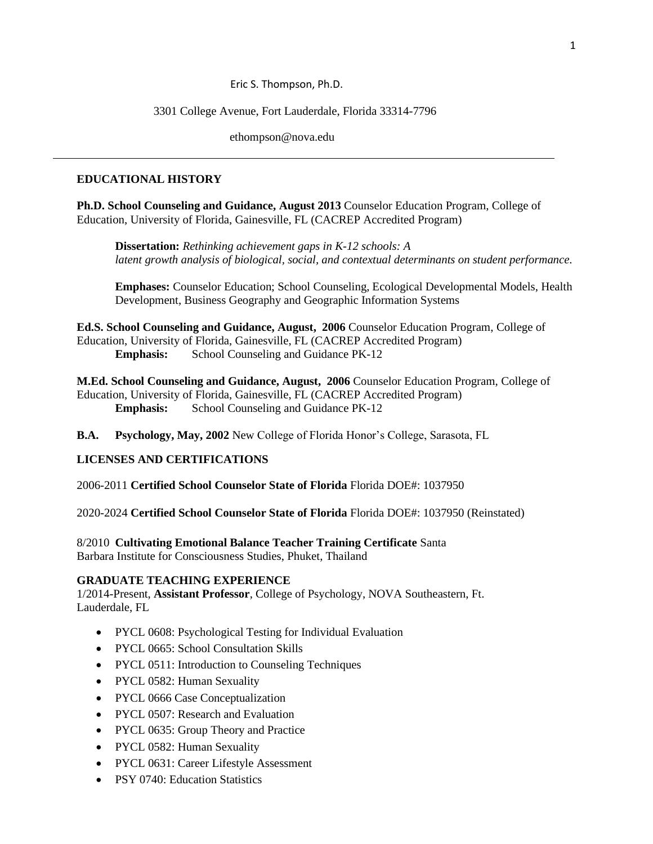### Eric S. Thompson, Ph.D.

#### 3301 College Avenue, Fort Lauderdale, Florida 33314-7796

ethompson@nova.edu

#### **EDUCATIONAL HISTORY**

**Ph.D. School Counseling and Guidance, August 2013** Counselor Education Program, College of Education, University of Florida, Gainesville, FL (CACREP Accredited Program)

**Dissertation:** *Rethinking achievement gaps in K-12 schools: A latent growth analysis of biological, social, and contextual determinants on student performance.*

**Emphases:** Counselor Education; School Counseling, Ecological Developmental Models, Health Development, Business Geography and Geographic Information Systems

**Ed.S. School Counseling and Guidance, August, 2006** Counselor Education Program, College of Education, University of Florida, Gainesville, FL (CACREP Accredited Program) **Emphasis:** School Counseling and Guidance PK-12

**M.Ed. School Counseling and Guidance, August, 2006** Counselor Education Program, College of Education, University of Florida, Gainesville, FL (CACREP Accredited Program) **Emphasis:** School Counseling and Guidance PK-12

**B.A. Psychology, May, 2002** New College of Florida Honor's College, Sarasota, FL

#### **LICENSES AND CERTIFICATIONS**

2006-2011 **Certified School Counselor State of Florida** Florida DOE#: 1037950

2020-2024 **Certified School Counselor State of Florida** Florida DOE#: 1037950 (Reinstated)

8/2010 **Cultivating Emotional Balance Teacher Training Certificate** Santa Barbara Institute for Consciousness Studies, Phuket, Thailand

#### **GRADUATE TEACHING EXPERIENCE**

1/2014-Present, **Assistant Professor**, College of Psychology, NOVA Southeastern, Ft. Lauderdale, FL

- PYCL 0608: Psychological Testing for Individual Evaluation
- PYCL 0665: School Consultation Skills
- PYCL 0511: Introduction to Counseling Techniques
- PYCL 0582: Human Sexuality
- PYCL 0666 Case Conceptualization
- PYCL 0507: Research and Evaluation
- PYCL 0635: Group Theory and Practice
- PYCL 0582: Human Sexuality
- PYCL 0631: Career Lifestyle Assessment
- PSY 0740: Education Statistics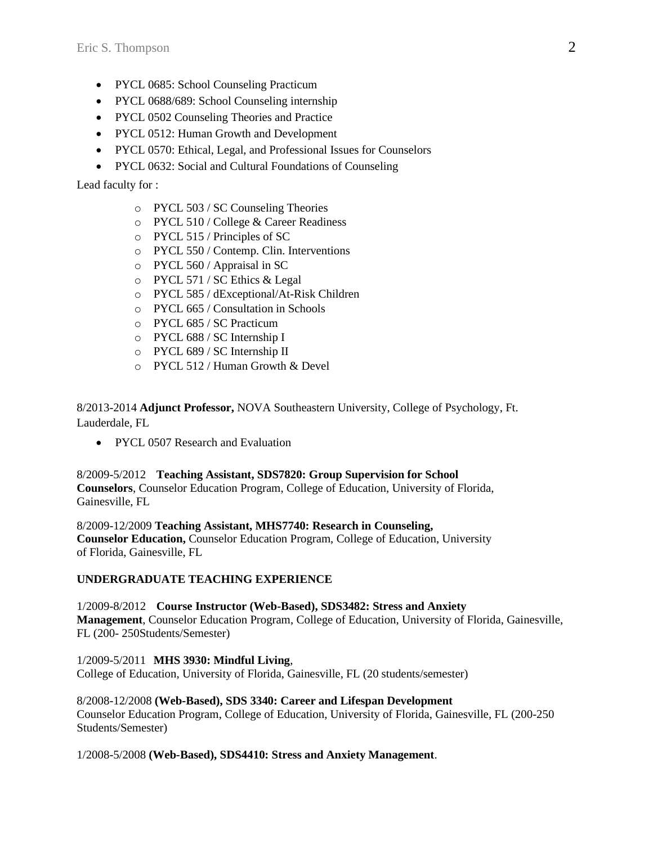- PYCL 0685: School Counseling Practicum
- PYCL 0688/689: School Counseling internship
- [PYCL 0502 Counseling Theories and Practice](javascript:togglevisible()
- PYCL 0512: [Human Growth and Development](javascript:togglevisible()
- PYCL 0570: Ethical, Legal, and Professional Issues for Counselors
- PYCL 0632: Social and Cultural Foundations of Counseling

Lead faculty for :

- o PYCL 503 / SC Counseling Theories
- o PYCL 510 / College & Career Readiness
- o PYCL 515 / Principles of SC
- o PYCL 550 / Contemp. Clin. Interventions
- o PYCL 560 / Appraisal in SC
- o PYCL 571 / SC Ethics & Legal
- o PYCL 585 / dExceptional/At-Risk Children
- o PYCL 665 / Consultation in Schools
- o PYCL 685 / SC Practicum
- o PYCL 688 / SC Internship I
- o PYCL 689 / SC Internship II
- o PYCL 512 / Human Growth & Devel

8/2013-2014 **Adjunct Professor,** NOVA Southeastern University, College of Psychology, Ft. Lauderdale, FL

• PYCL 0507 Research and Evaluation

8/2009-5/2012 **Teaching Assistant, SDS7820: Group Supervision for School Counselors**, Counselor Education Program, College of Education, University of Florida, Gainesville, FL

8/2009-12/2009 **Teaching Assistant, MHS7740: Research in Counseling, Counselor Education,** Counselor Education Program, College of Education, University of Florida, Gainesville, FL

## **UNDERGRADUATE TEACHING EXPERIENCE**

1/2009-8/2012 **Course Instructor (Web-Based), SDS3482: Stress and Anxiety Management**, Counselor Education Program, College of Education, University of Florida, Gainesville, FL (200- 250Students/Semester)

1/2009-5/2011 **MHS 3930: Mindful Living**, College of Education, University of Florida, Gainesville, FL (20 students/semester)

8/2008-12/2008 **(Web-Based), SDS 3340: Career and Lifespan Development** Counselor Education Program, College of Education, University of Florida, Gainesville, FL (200-250 Students/Semester)

1/2008-5/2008 **(Web-Based), SDS4410: Stress and Anxiety Management**.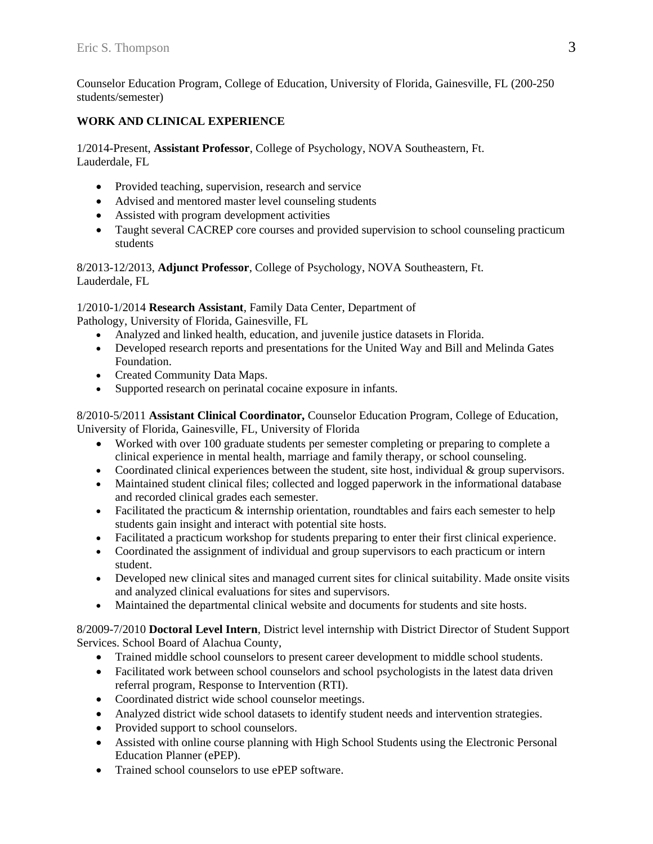Counselor Education Program, College of Education, University of Florida, Gainesville, FL (200-250 students/semester)

# **WORK AND CLINICAL EXPERIENCE**

1/2014-Present, **Assistant Professor**, College of Psychology, NOVA Southeastern, Ft. Lauderdale, FL

- Provided teaching, supervision, research and service
- Advised and mentored master level counseling students
- Assisted with program development activities
- Taught several CACREP core courses and provided supervision to school counseling practicum students

8/2013-12/2013, **Adjunct Professor**, College of Psychology, NOVA Southeastern, Ft. Lauderdale, FL

1/2010-1/2014 **Research Assistant**, Family Data Center, Department of Pathology, University of Florida, Gainesville, FL

- Analyzed and linked health, education, and juvenile justice datasets in Florida.
- Developed research reports and presentations for the United Way and Bill and Melinda Gates Foundation.
- Created Community Data Maps.
- Supported research on perinatal cocaine exposure in infants.

8/2010-5/2011 **Assistant Clinical Coordinator,** Counselor Education Program, College of Education, University of Florida, Gainesville, FL, University of Florida

- Worked with over 100 graduate students per semester completing or preparing to complete a clinical experience in mental health, marriage and family therapy, or school counseling.
- Coordinated clinical experiences between the student, site host, individual  $&$  group supervisors.
- Maintained student clinical files; collected and logged paperwork in the informational database and recorded clinical grades each semester.
- Facilitated the practicum  $\&$  internship orientation, roundtables and fairs each semester to help students gain insight and interact with potential site hosts.
- Facilitated a practicum workshop for students preparing to enter their first clinical experience.
- Coordinated the assignment of individual and group supervisors to each practicum or intern student.
- Developed new clinical sites and managed current sites for clinical suitability. Made onsite visits and analyzed clinical evaluations for sites and supervisors.
- Maintained the departmental clinical website and documents for students and site hosts.

8/2009-7/2010 **Doctoral Level Intern**, District level internship with District Director of Student Support Services. School Board of Alachua County,

- Trained middle school counselors to present career development to middle school students.
- Facilitated work between school counselors and school psychologists in the latest data driven referral program, Response to Intervention (RTI).
- Coordinated district wide school counselor meetings.
- Analyzed district wide school datasets to identify student needs and intervention strategies.
- Provided support to school counselors.
- Assisted with online course planning with High School Students using the Electronic Personal Education Planner (ePEP).
- Trained school counselors to use ePEP software.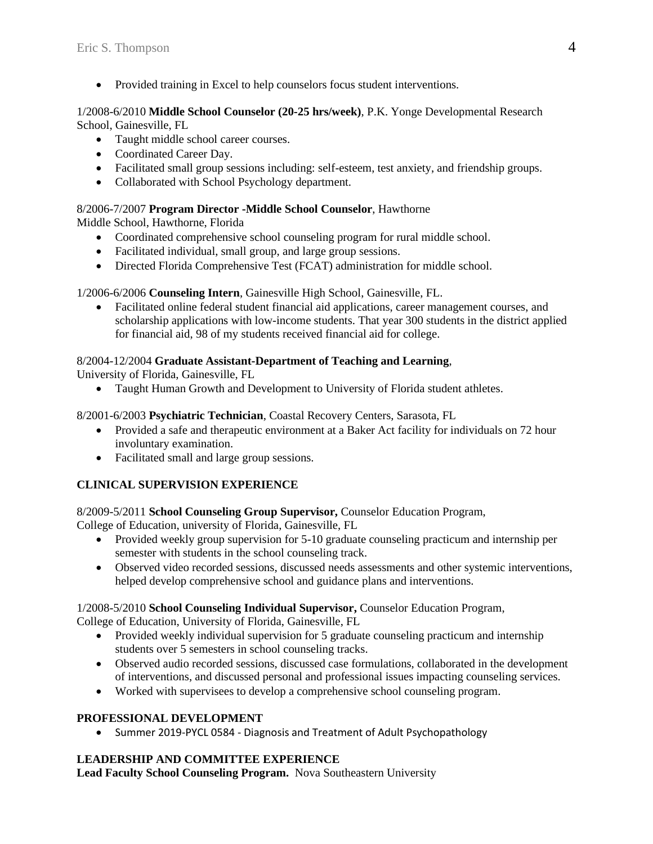• Provided training in Excel to help counselors focus student interventions.

### 1/2008-6/2010 **Middle School Counselor (20-25 hrs/week)**, P.K. Yonge Developmental Research School, Gainesville, FL

- Taught middle school career courses.
- Coordinated Career Day.
- Facilitated small group sessions including: self-esteem, test anxiety, and friendship groups.
- Collaborated with School Psychology department.

### 8/2006-7/2007 **Program Director -Middle School Counselor**, Hawthorne

Middle School, Hawthorne, Florida

- Coordinated comprehensive school counseling program for rural middle school.
- Facilitated individual, small group, and large group sessions.
- Directed Florida Comprehensive Test (FCAT) administration for middle school.

## 1/2006-6/2006 **Counseling Intern**, Gainesville High School, Gainesville, FL.

• Facilitated online federal student financial aid applications, career management courses, and scholarship applications with low-income students. That year 300 students in the district applied for financial aid, 98 of my students received financial aid for college.

## 8/2004-12/2004 **Graduate Assistant-Department of Teaching and Learning**,

University of Florida, Gainesville, FL

• Taught Human Growth and Development to University of Florida student athletes.

8/2001-6/2003 **Psychiatric Technician**, Coastal Recovery Centers, Sarasota, FL

- Provided a safe and therapeutic environment at a Baker Act facility for individuals on 72 hour involuntary examination.
- Facilitated small and large group sessions.

## **CLINICAL SUPERVISION EXPERIENCE**

8/2009-5/2011 **School Counseling Group Supervisor,** Counselor Education Program,

College of Education, university of Florida, Gainesville, FL

- Provided weekly group supervision for 5-10 graduate counseling practicum and internship per semester with students in the school counseling track.
- Observed video recorded sessions, discussed needs assessments and other systemic interventions, helped develop comprehensive school and guidance plans and interventions.

## 1/2008-5/2010 **School Counseling Individual Supervisor,** Counselor Education Program,

College of Education, University of Florida, Gainesville, FL

- Provided weekly individual supervision for 5 graduate counseling practicum and internship students over 5 semesters in school counseling tracks.
- Observed audio recorded sessions, discussed case formulations, collaborated in the development of interventions, and discussed personal and professional issues impacting counseling services.
- Worked with supervisees to develop a comprehensive school counseling program.

## **PROFESSIONAL DEVELOPMENT**

• Summer 2019-PYCL 0584 - Diagnosis and Treatment of Adult Psychopathology

## **LEADERSHIP AND COMMITTEE EXPERIENCE**

**Lead Faculty School Counseling Program.** Nova Southeastern University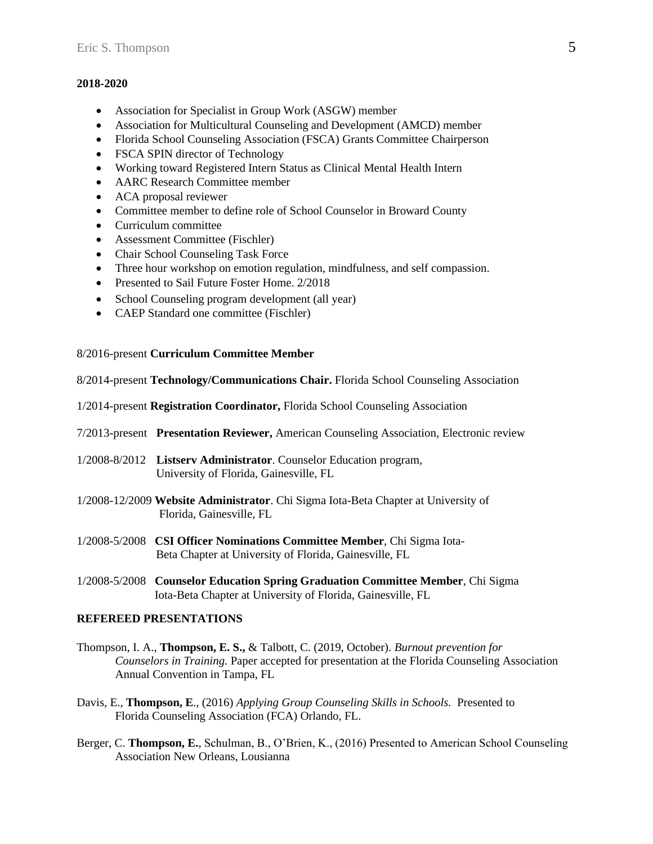#### **2018-2020**

- Association for Specialist in Group Work (ASGW) member
- Association for Multicultural Counseling and Development (AMCD) member
- Florida School Counseling Association (FSCA) Grants Committee Chairperson
- FSCA SPIN director of Technology
- Working toward Registered Intern Status as Clinical Mental Health Intern
- AARC Research Committee member
- ACA proposal reviewer
- Committee member to define role of School Counselor in Broward County
- Curriculum committee
- Assessment Committee (Fischler)
- Chair School Counseling Task Force
- Three hour workshop on emotion regulation, mindfulness, and self compassion.
- Presented to Sail Future Foster Home. 2/2018
- School Counseling program development (all year)
- CAEP Standard one committee (Fischler)

8/2016-present **Curriculum Committee Member**

8/2014-present **Technology/Communications Chair.** Florida School Counseling Association

1/2014-present **Registration Coordinator,** Florida School Counseling Association

- 7/2013-present **Presentation Reviewer,** American Counseling Association, Electronic review
- 1/2008-8/2012 **Listserv Administrator**. Counselor Education program, University of Florida, Gainesville, FL
- 1/2008-12/2009 **Website Administrator**. Chi Sigma Iota-Beta Chapter at University of Florida, Gainesville, FL
- 1/2008-5/2008 **CSI Officer Nominations Committee Member**, Chi Sigma Iota- Beta Chapter at University of Florida, Gainesville, FL
- 1/2008-5/2008 **Counselor Education Spring Graduation Committee Member**, Chi Sigma Iota-Beta Chapter at University of Florida, Gainesville, FL

### **REFEREED PRESENTATIONS**

- Thompson, I. A., **Thompson, E. S.,** & Talbott, C. (2019, October). *Burnout prevention for Counselors in Training.* Paper accepted for presentation at the Florida Counseling Association Annual Convention in Tampa, FL
- Davis, E., **Thompson, E**., (2016) *Applying Group Counseling Skills in Schools.* Presented to Florida Counseling Association (FCA) Orlando, FL.
- Berger, C. **Thompson, E.**, Schulman, B., O'Brien, K., (2016) Presented to American School Counseling Association New Orleans, Lousianna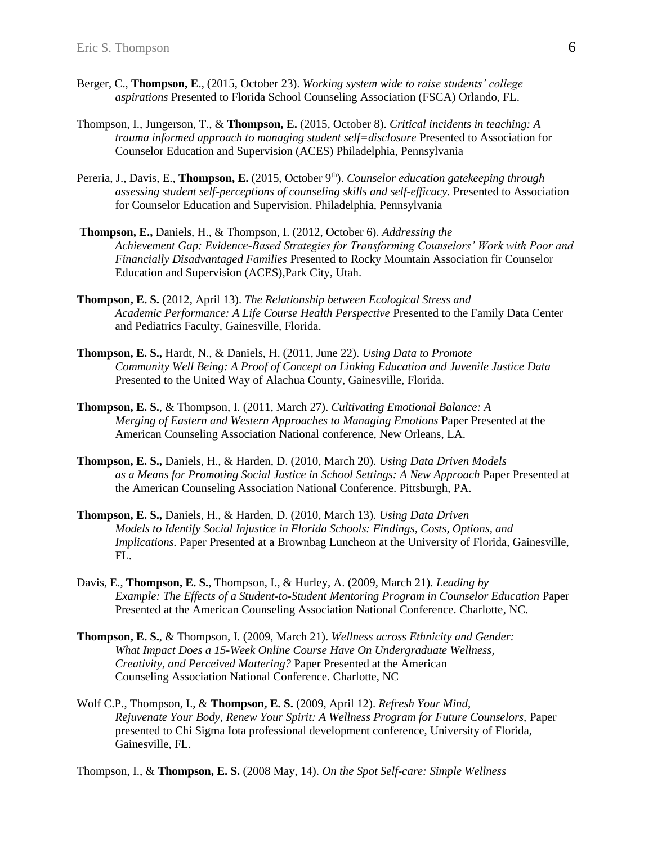- Berger, C., **Thompson, E**., (2015, October 23). *Working system wide to raise students' college aspirations* Presented to Florida School Counseling Association (FSCA) Orlando, FL.
- Thompson, I., Jungerson, T., & **Thompson, E.** (2015, October 8). *Critical incidents in teaching: A trauma informed approach to managing student self=disclosure* Presented to Association for Counselor Education and Supervision (ACES) Philadelphia, Pennsylvania
- Pereria, J., Davis, E., **Thompson, E.** (2015, October 9<sup>th</sup>). *Counselor education gatekeeping through assessing student self-perceptions of counseling skills and self-efficacy.* Presented to Association for Counselor Education and Supervision. Philadelphia, Pennsylvania
- **Thompson, E.,** Daniels, H., & Thompson, I. (2012, October 6). *Addressing the Achievement Gap: Evidence-Based Strategies for Transforming Counselors' Work with Poor and Financially Disadvantaged Families* Presented to Rocky Mountain Association fir Counselor Education and Supervision (ACES),Park City, Utah.
- **Thompson, E. S.** (2012, April 13). *The Relationship between Ecological Stress and Academic Performance: A Life Course Health Perspective* Presented to the Family Data Center and Pediatrics Faculty, Gainesville, Florida.
- **Thompson, E. S.,** Hardt, N., & Daniels, H. (2011, June 22). *Using Data to Promote Community Well Being: A Proof of Concept on Linking Education and Juvenile Justice Data*  Presented to the United Way of Alachua County, Gainesville, Florida.
- **Thompson, E. S.**, & Thompson, I. (2011, March 27). *Cultivating Emotional Balance: A Merging of Eastern and Western Approaches to Managing Emotions* Paper Presented at the American Counseling Association National conference, New Orleans, LA.
- **Thompson, E. S.,** Daniels, H., & Harden, D. (2010, March 20). *Using Data Driven Models as a Means for Promoting Social Justice in School Settings: A New Approach* Paper Presented at the American Counseling Association National Conference. Pittsburgh, PA.
- **Thompson, E. S.,** Daniels, H., & Harden, D. (2010, March 13). *Using Data Driven Models to Identify Social Injustice in Florida Schools: Findings, Costs, Options, and Implications.* Paper Presented at a Brownbag Luncheon at the University of Florida, Gainesville, FL.
- Davis, E., **Thompson, E. S.**, Thompson, I., & Hurley, A. (2009, March 21). *Leading by Example: The Effects of a Student-to-Student Mentoring Program in Counselor Education Paper* Presented at the American Counseling Association National Conference. Charlotte, NC.
- **Thompson, E. S.**, & Thompson, I. (2009, March 21). *Wellness across Ethnicity and Gender: What Impact Does a 15-Week Online Course Have On Undergraduate Wellness, Creativity, and Perceived Mattering?* Paper Presented at the American Counseling Association National Conference. Charlotte, NC
- Wolf C.P., Thompson, I., & **Thompson, E. S.** (2009, April 12). *Refresh Your Mind, Rejuvenate Your Body, Renew Your Spirit: A Wellness Program for Future Counselors,* Paper presented to Chi Sigma Iota professional development conference, University of Florida, Gainesville, FL.

Thompson, I., & **Thompson, E. S.** (2008 May, 14). *On the Spot Self-care: Simple Wellness*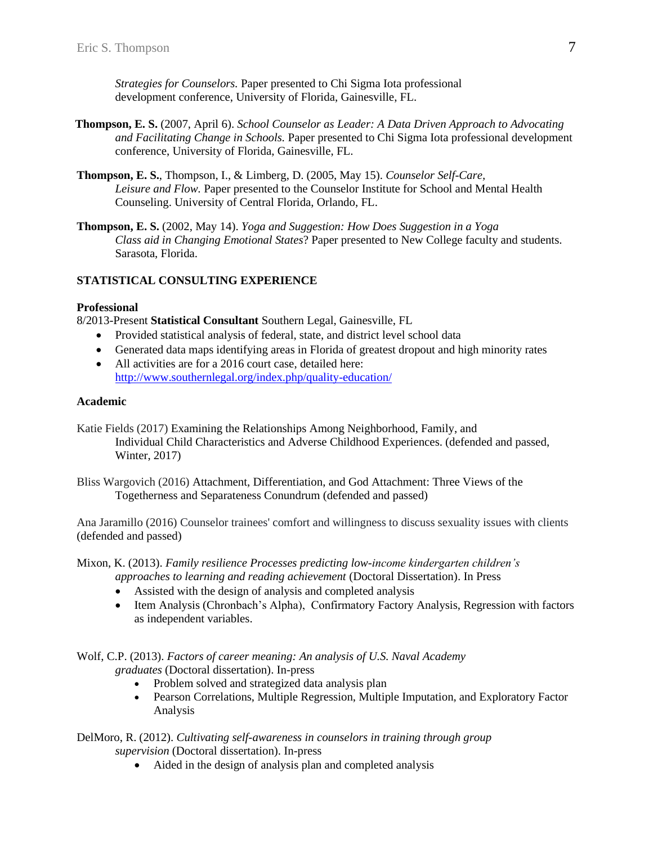*Strategies for Counselors.* Paper presented to Chi Sigma Iota professional development conference, University of Florida, Gainesville, FL.

- **Thompson, E. S.** (2007, April 6). *School Counselor as Leader: A Data Driven Approach to Advocating and Facilitating Change in Schools.* Paper presented to Chi Sigma Iota professional development conference, University of Florida, Gainesville, FL.
- **Thompson, E. S.**, Thompson, I., & Limberg, D. (2005, May 15). *Counselor Self-Care, Leisure and Flow.* Paper presented to the Counselor Institute for School and Mental Health Counseling. University of Central Florida, Orlando, FL.
- **Thompson, E. S.** (2002, May 14). *Yoga and Suggestion: How Does Suggestion in a Yoga Class aid in Changing Emotional States*? Paper presented to New College faculty and students. Sarasota, Florida.

## **STATISTICAL CONSULTING EXPERIENCE**

### **Professional**

8/2013-Present **Statistical Consultant** Southern Legal, Gainesville, FL

- Provided statistical analysis of federal, state, and district level school data
- Generated data maps identifying areas in Florida of greatest dropout and high minority rates
- All activities are for a 2016 court case, detailed here: <http://www.southernlegal.org/index.php/quality-education/>

### **Academic**

Katie Fields (2017) Examining the Relationships Among Neighborhood, Family, and Individual Child Characteristics and Adverse Childhood Experiences. (defended and passed, Winter, 2017)

Bliss Wargovich (2016) Attachment, Differentiation, and God Attachment: Three Views of the Togetherness and Separateness Conundrum (defended and passed)

Ana Jaramillo (2016) Counselor trainees' comfort and willingness to discuss sexuality issues with clients (defended and passed)

Mixon, K. (2013). *Family resilience Processes predicting low-income kindergarten children's approaches to learning and reading achievement* (Doctoral Dissertation). In Press

- Assisted with the design of analysis and completed analysis
- Item Analysis (Chronbach's Alpha), Confirmatory Factory Analysis, Regression with factors as independent variables.

Wolf, C.P. (2013). *Factors of career meaning: An analysis of U.S. Naval Academy graduates* (Doctoral dissertation). In-press

- Problem solved and strategized data analysis plan
- Pearson Correlations, Multiple Regression, Multiple Imputation, and Exploratory Factor Analysis

DelMoro, R. (2012). *Cultivating self-awareness in counselors in training through group supervision* (Doctoral dissertation). In-press

• Aided in the design of analysis plan and completed analysis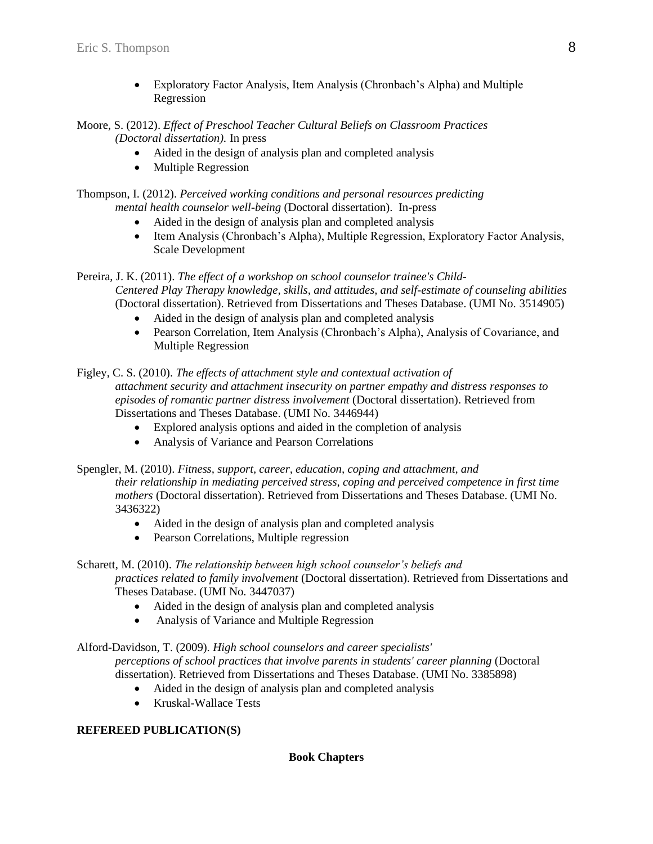- Exploratory Factor Analysis, Item Analysis (Chronbach's Alpha) and Multiple Regression
- Moore, S. (2012). *Effect of Preschool Teacher Cultural Beliefs on Classroom Practices (Doctoral dissertation).* In press
	- Aided in the design of analysis plan and completed analysis
	- Multiple Regression

Thompson, I. (2012). *Perceived working conditions and personal resources predicting mental health counselor well-being* (Doctoral dissertation). In-press

- Aided in the design of analysis plan and completed analysis
- Item Analysis (Chronbach's Alpha), Multiple Regression, Exploratory Factor Analysis, Scale Development

Pereira, J. K. (2011). *The effect of a workshop on school counselor trainee's Child-Centered Play Therapy knowledge, skills, and attitudes, and self-estimate of counseling abilities* 

- (Doctoral dissertation). Retrieved from Dissertations and Theses Database. (UMI No. 3514905)
	- Aided in the design of analysis plan and completed analysis
	- Pearson Correlation, Item Analysis (Chronbach's Alpha), Analysis of Covariance, and Multiple Regression

Figley, C. S. (2010). *The effects of attachment style and contextual activation of attachment security and attachment insecurity on partner empathy and distress responses to episodes of romantic partner distress involvement* (Doctoral dissertation). Retrieved from Dissertations and Theses Database. (UMI No. 3446944)

- Explored analysis options and aided in the completion of analysis
- Analysis of Variance and Pearson Correlations

Spengler, M. (2010). *Fitness, support, career, education, coping and attachment, and their relationship in mediating perceived stress, coping and perceived competence in first time mothers* (Doctoral dissertation). Retrieved from Dissertations and Theses Database. (UMI No. 3436322)

- Aided in the design of analysis plan and completed analysis
- Pearson Correlations, Multiple regression

## Scharett, M. (2010). *The relationship between high school counselor's beliefs and*

*practices related to family involvement* (Doctoral dissertation). Retrieved from Dissertations and Theses Database. (UMI No. 3447037)

- Aided in the design of analysis plan and completed analysis
- Analysis of Variance and Multiple Regression

Alford-Davidson, T. (2009). *High school counselors and career specialists'* 

*perceptions of school practices that involve parents in students' career planning* (Doctoral dissertation). Retrieved from Dissertations and Theses Database. (UMI No. 3385898)

- Aided in the design of analysis plan and completed analysis
- Kruskal-Wallace Tests

# **REFEREED PUBLICATION(S)**

## **Book Chapters**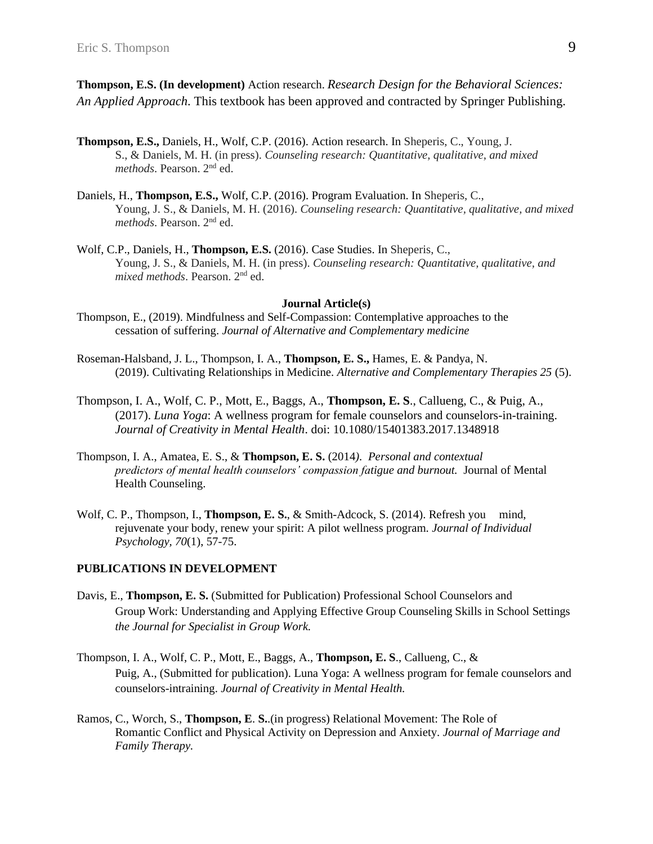**Thompson, E.S. (In development)** Action research. *Research Design for the Behavioral Sciences: An Applied Approach*. This textbook has been approved and contracted by Springer Publishing.

- **Thompson, E.S.,** Daniels, H., Wolf, C.P. (2016). Action research. In Sheperis, C., Young, J. S., & Daniels, M. H. (in press). *Counseling research: Quantitative, qualitative, and mixed methods*. Pearson. 2nd ed.
- Daniels, H., **Thompson, E.S.,** Wolf, C.P. (2016). Program Evaluation. In Sheperis, C., Young, J. S., & Daniels, M. H. (2016). *Counseling research: Quantitative, qualitative, and mixed methods*. Pearson. 2nd ed.
- Wolf, C.P., Daniels, H., **Thompson, E.S.** (2016). Case Studies. In Sheperis, C., Young, J. S., & Daniels, M. H. (in press). *Counseling research: Quantitative, qualitative, and mixed methods*. Pearson. 2nd ed.

#### **Journal Article(s)**

- Thompson, E., (2019). Mindfulness and Self-Compassion: Contemplative approaches to the cessation of suffering. *Journal of Alternative and Complementary medicine*
- Roseman-Halsband, J. L., Thompson, I. A., **Thompson, E. S.,** Hames, E. & Pandya, N. (2019). Cultivating Relationships in Medicine. *Alternative and Complementary Therapies 25* (5).
- Thompson, I. A., Wolf, C. P., Mott, E., Baggs, A., **Thompson, E. S**., Callueng, C., & Puig, A., (2017). *Luna Yoga*: A wellness program for female counselors and counselors-in-training. *Journal of Creativity in Mental Health*. doi: 10.1080/15401383.2017.1348918
- Thompson, I. A., Amatea, E. S., & **Thompson, E. S.** (2014*). Personal and contextual predictors of mental health counselors' compassion fatigue and burnout.* Journal of Mental Health Counseling.
- Wolf, C. P., Thompson, I., **Thompson, E. S.**, & Smith-Adcock, S. (2014). Refresh you mind, rejuvenate your body, renew your spirit: A pilot wellness program. *Journal of Individual Psychology, 70*(1), 57-75.

#### **PUBLICATIONS IN DEVELOPMENT**

- Davis, E., **Thompson, E. S.** (Submitted for Publication) Professional School Counselors and Group Work: Understanding and Applying Effective Group Counseling Skills in School Settings *the Journal for Specialist in Group Work.*
- Thompson, I. A., Wolf, C. P., Mott, E., Baggs, A., **Thompson, E. S**., Callueng, C., & Puig, A., (Submitted for publication). Luna Yoga: A wellness program for female counselors and counselors-intraining. *Journal of Creativity in Mental Health.*
- Ramos, C., Worch, S., **Thompson, E**. **S.**.(in progress) Relational Movement: The Role of Romantic Conflict and Physical Activity on Depression and Anxiety. *Journal of Marriage and Family Therapy.*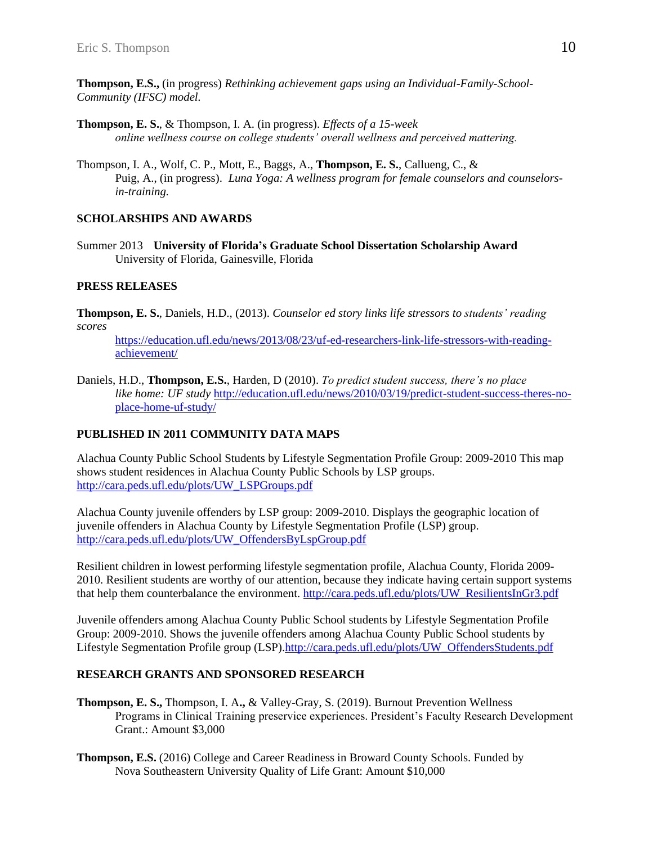**Thompson, E.S.,** (in progress) *Rethinking achievement gaps using an Individual-Family-School-Community (IFSC) model.* 

- **Thompson, E. S.**, & Thompson, I. A. (in progress). *Effects of a 15-week online wellness course on college students' overall wellness and perceived mattering.*
- Thompson, I. A., Wolf, C. P., Mott, E., Baggs, A., **Thompson, E. S.**, Callueng, C., & Puig, A., (in progress). *Luna Yoga: A wellness program for female counselors and counselorsin-training.*

### **SCHOLARSHIPS AND AWARDS**

Summer 2013 **University of Florida's Graduate School Dissertation Scholarship Award** University of Florida, Gainesville, Florida

### **PRESS RELEASES**

**Thompson, E. S.**, Daniels, H.D., (2013). *Counselor ed story links life stressors to students' reading scores*

[https://education.ufl.edu/news/2013/08/23/uf-ed-researchers-link-life-stressors-with-reading](https://education.ufl.edu/news/2013/08/23/uf-ed-researchers-link-life-stressors-with-reading-achievement/)[achievement/](https://education.ufl.edu/news/2013/08/23/uf-ed-researchers-link-life-stressors-with-reading-achievement/)

Daniels, H.D., **Thompson, E.S.**, Harden, D (2010). *To predict student success, there's no place like home: UF study* [http://education.ufl.edu/news/2010/03/19/predict-student-success-theres-no](http://education.ufl.edu/news/2010/03/19/predict-student-success-theres-no-place-home-uf-study/)[place-home-uf-study/](http://education.ufl.edu/news/2010/03/19/predict-student-success-theres-no-place-home-uf-study/)

## **PUBLISHED IN 2011 COMMUNITY DATA MAPS**

Alachua County Public School Students by Lifestyle Segmentation Profile Group: 2009-2010 This map shows student residences in Alachua County Public Schools by LSP groups. [http://cara.peds.ufl.edu/plots/UW\\_LSPGroups.pdf](http://cara.peds.ufl.edu/plots/UW_LSPGroups.pdf)

Alachua County juvenile offenders by LSP group: 2009-2010. Displays the geographic location of juvenile offenders in Alachua County by Lifestyle Segmentation Profile (LSP) group. [http://cara.peds.ufl.edu/plots/UW\\_OffendersByLspGroup.pdf](http://cara.peds.ufl.edu/plots/UW_OffendersByLspGroup.pdf)

Resilient children in lowest performing lifestyle segmentation profile, Alachua County, Florida 2009- 2010. Resilient students are worthy of our attention, because they indicate having certain support systems that help them counterbalance the environment. [http://cara.peds.ufl.edu/plots/UW\\_ResilientsInGr3.pdf](http://cara.peds.ufl.edu/plots/UW_ResilientsInGr3.pdf)

Juvenile offenders among Alachua County Public School students by Lifestyle Segmentation Profile Group: 2009-2010. Shows the juvenile offenders among Alachua County Public School students by Lifestyle Segmentation Profile group (LSP)[.http://cara.peds.ufl.edu/plots/UW\\_OffendersStudents.pdf](http://cara.peds.ufl.edu/plots/UW_OffendersStudents.pdf) 

## **RESEARCH GRANTS AND SPONSORED RESEARCH**

- **Thompson, E. S.,** Thompson, I. A**.,** & Valley-Gray, S. (2019). Burnout Prevention Wellness Programs in Clinical Training preservice experiences. President's Faculty Research Development Grant.: Amount \$3,000
- **Thompson, E.S.** (2016) College and Career Readiness in Broward County Schools. Funded by Nova Southeastern University Quality of Life Grant: Amount \$10,000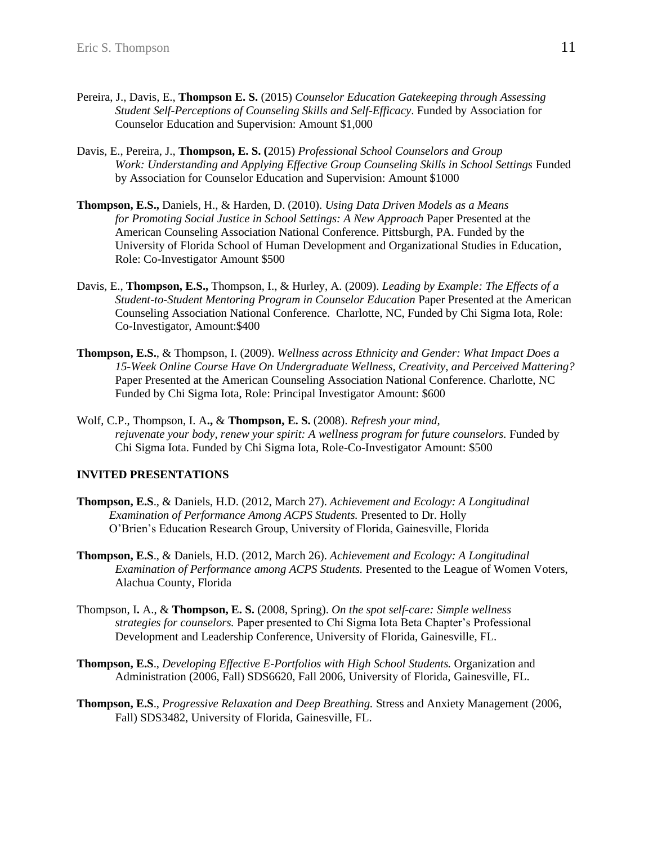- Pereira, J., Davis, E., **Thompson E. S.** (2015) *Counselor Education Gatekeeping through Assessing Student Self-Perceptions of Counseling Skills and Self-Efficacy*. Funded by Association for Counselor Education and Supervision: Amount \$1,000
- Davis, E., Pereira, J., **Thompson, E. S. (**2015) *Professional School Counselors and Group Work: Understanding and Applying Effective Group Counseling Skills in School Settings* Funded by Association for Counselor Education and Supervision: Amount \$1000
- **Thompson, E.S.,** Daniels, H., & Harden, D. (2010). *Using Data Driven Models as a Means for Promoting Social Justice in School Settings: A New Approach* Paper Presented at the American Counseling Association National Conference. Pittsburgh, PA. Funded by the University of Florida School of Human Development and Organizational Studies in Education, Role: Co-Investigator Amount \$500
- Davis, E., **Thompson, E.S.,** Thompson, I., & Hurley, A. (2009). *Leading by Example: The Effects of a Student-to-Student Mentoring Program in Counselor Education* Paper Presented at the American Counseling Association National Conference. Charlotte, NC, Funded by Chi Sigma Iota, Role: Co-Investigator, Amount:\$400
- **Thompson, E.S.**, & Thompson, I. (2009). *Wellness across Ethnicity and Gender: What Impact Does a 15-Week Online Course Have On Undergraduate Wellness, Creativity, and Perceived Mattering?* Paper Presented at the American Counseling Association National Conference. Charlotte, NC Funded by Chi Sigma Iota, Role: Principal Investigator Amount: \$600
- Wolf, C.P., Thompson, I. A**.,** & **Thompson, E. S.** (2008). *Refresh your mind, rejuvenate your body, renew your spirit: A wellness program for future counselors.* Funded by Chi Sigma Iota. Funded by Chi Sigma Iota, Role-Co-Investigator Amount: \$500

## **INVITED PRESENTATIONS**

- **Thompson, E.S**., & Daniels, H.D. (2012, March 27). *Achievement and Ecology: A Longitudinal*  *Examination of Performance Among ACPS Students.* Presented to Dr. Holly O'Brien's Education Research Group, University of Florida, Gainesville, Florida
- **Thompson, E.S**., & Daniels, H.D. (2012, March 26). *Achievement and Ecology: A Longitudinal Examination of Performance among ACPS Students.* Presented to the League of Women Voters, Alachua County, Florida
- Thompson, I**.** A., & **Thompson, E. S.** (2008, Spring). *On the spot self-care: Simple wellness strategies for counselors.* Paper presented to Chi Sigma Iota Beta Chapter's Professional Development and Leadership Conference, University of Florida, Gainesville, FL.
- **Thompson, E.S**., *Developing Effective E-Portfolios with High School Students.* Organization and Administration (2006, Fall) SDS6620, Fall 2006, University of Florida, Gainesville, FL.
- **Thompson, E.S**., *Progressive Relaxation and Deep Breathing.* Stress and Anxiety Management (2006, Fall) SDS3482, University of Florida, Gainesville, FL.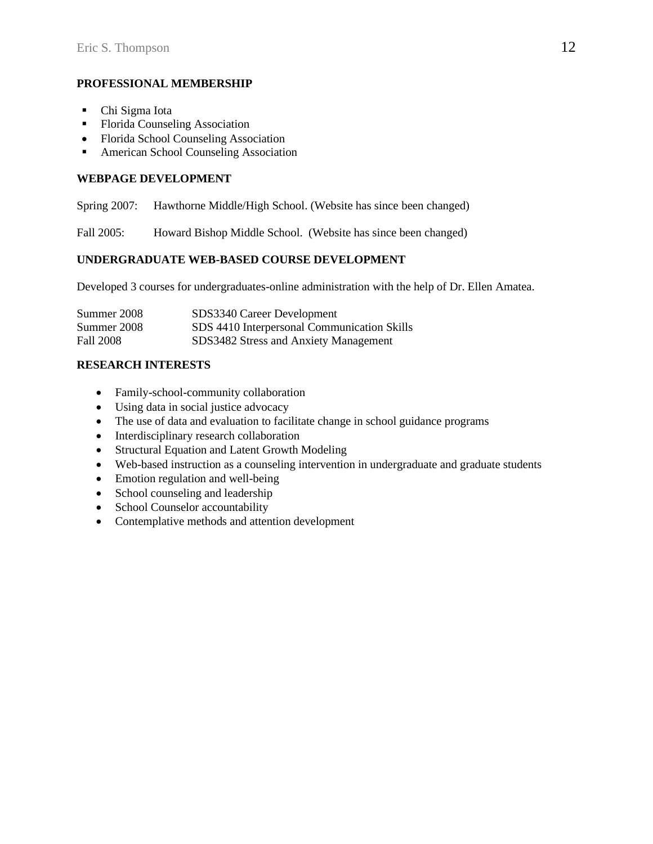## **PROFESSIONAL MEMBERSHIP**

- Chi Sigma Iota
- Florida Counseling Association
- Florida School Counseling Association
- American School Counseling Association

# **WEBPAGE DEVELOPMENT**

Spring 2007: Hawthorne Middle/High School. (Website has since been changed)

Fall 2005: Howard Bishop Middle School. (Website has since been changed)

## **UNDERGRADUATE WEB-BASED COURSE DEVELOPMENT**

Developed 3 courses for undergraduates-online administration with the help of Dr. Ellen Amatea.

| Summer 2008 | SDS3340 Career Development                  |
|-------------|---------------------------------------------|
| Summer 2008 | SDS 4410 Interpersonal Communication Skills |
| Fall 2008   | SDS3482 Stress and Anxiety Management       |

## **RESEARCH INTERESTS**

- Family-school-community collaboration
- Using data in social justice advocacy
- The use of data and evaluation to facilitate change in school guidance programs
- Interdisciplinary research collaboration
- Structural Equation and Latent Growth Modeling
- Web-based instruction as a counseling intervention in undergraduate and graduate students
- Emotion regulation and well-being
- School counseling and leadership
- School Counselor accountability
- Contemplative methods and attention development